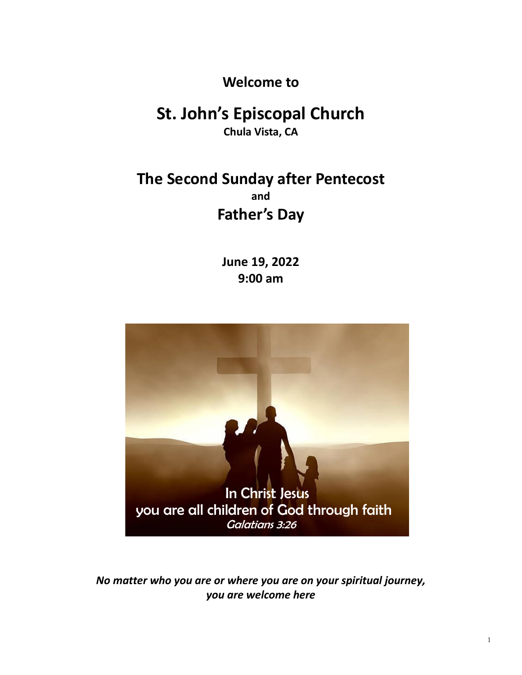**Welcome to**

# **St. John's Episcopal Church Chula Vista, CA**

# **The Second Sunday after Pentecost and Father's Day**

**June 19, 2022 9:00 am**



*No matter who you are or where you are on your spiritual journey, you are welcome here*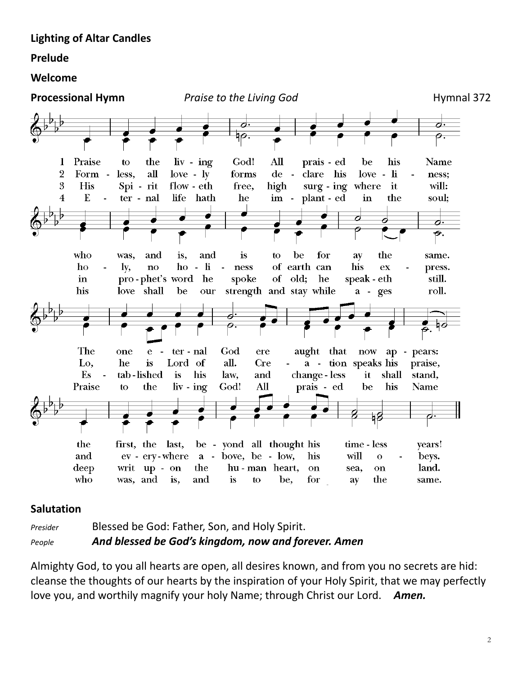**Lighting of Altar Candles**

**Prelude**

**Welcome**



## **Salutation**

*Presider* Blessed be God: Father, Son, and Holy Spirit. *People And blessed be God's kingdom, now and forever. Amen*

Almighty God, to you all hearts are open, all desires known, and from you no secrets are hid: cleanse the thoughts of our hearts by the inspiration of your Holy Spirit, that we may perfectly love you, and worthily magnify your holy Name; through Christ our Lord. *Amen.*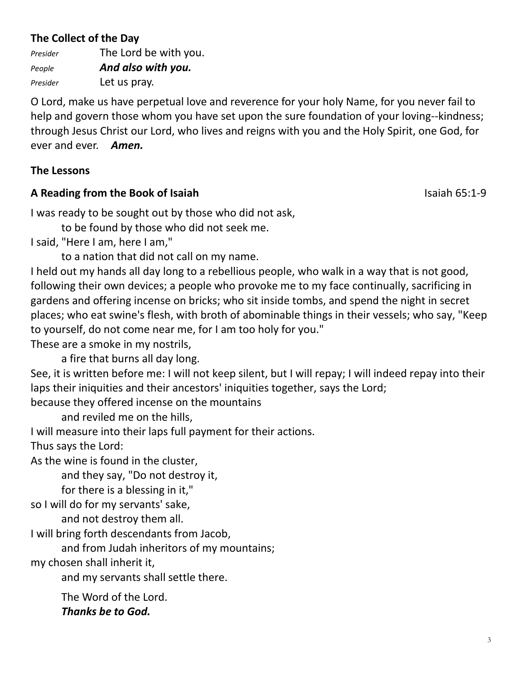## **The Collect of the Day**

| Presider | The Lord be with you. |
|----------|-----------------------|
| People   | And also with you.    |
| Presider | Let us pray.          |

O Lord, make us have perpetual love and reverence for your holy Name, for you never fail to help and govern those whom you have set upon the sure foundation of your loving--kindness; through Jesus Christ our Lord, who lives and reigns with you and the Holy Spirit, one God, for ever and ever. *Amen.*

#### **The Lessons**

## **A Reading from the Book of Isaiah** Isaiah 65:1-9

I was ready to be sought out by those who did not ask,

to be found by those who did not seek me.

I said, "Here I am, here I am,"

to a nation that did not call on my name.

I held out my hands all day long to a rebellious people, who walk in a way that is not good, following their own devices; a people who provoke me to my face continually, sacrificing in gardens and offering incense on bricks; who sit inside tombs, and spend the night in secret places; who eat swine's flesh, with broth of abominable things in their vessels; who say, "Keep to yourself, do not come near me, for I am too holy for you."

These are a smoke in my nostrils,

a fire that burns all day long.

See, it is written before me: I will not keep silent, but I will repay; I will indeed repay into their laps their iniquities and their ancestors' iniquities together, says the Lord; because they offered incense on the mountains

and reviled me on the hills,

I will measure into their laps full payment for their actions.

Thus says the Lord:

As the wine is found in the cluster,

and they say, "Do not destroy it,

for there is a blessing in it,"

so I will do for my servants' sake,

and not destroy them all.

I will bring forth descendants from Jacob,

and from Judah inheritors of my mountains;

my chosen shall inherit it,

and my servants shall settle there.

The Word of the Lord.

*Thanks be to God.*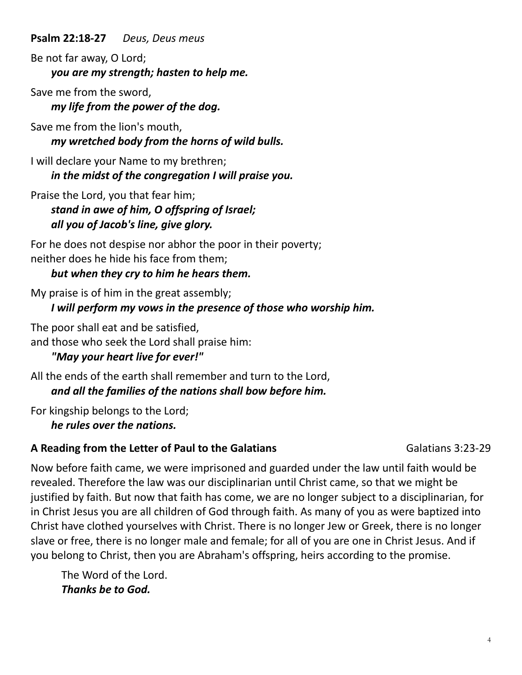**Psalm 22:18-27** *Deus, Deus meus*

Be not far away, O Lord; *you are my strength; hasten to help me.*

Save me from the sword,

*my life from the power of the dog.*

Save me from the lion's mouth, *my wretched body from the horns of wild bulls.*

I will declare your Name to my brethren; *in the midst of the congregation I will praise you.*

Praise the Lord, you that fear him; *stand in awe of him, O offspring of Israel; all you of Jacob's line, give glory.*

For he does not despise nor abhor the poor in their poverty; neither does he hide his face from them;

*but when they cry to him he hears them.*

My praise is of him in the great assembly; *I will perform my vows in the presence of those who worship him.*

The poor shall eat and be satisfied, and those who seek the Lord shall praise him:

*"May your heart live for ever!"*

All the ends of the earth shall remember and turn to the Lord, *and all the families of the nations shall bow before him.*

For kingship belongs to the Lord;

*he rules over the nations.*

## **A Reading from the Letter of Paul to the Galatians Secure 20 8 and Secure 20 4 8 and Secure 20 4 8 4 8 and Secure 20 4 8 8 8 4 9 3 4 9 4 8 8 8 9 4 9 4 8 9 4 8 8 9 4 8 8 9 4 8 8 9 4 8 8 9 4 8 9 4 8 9 4 8 9 4 8 9 4 8 9 4**

Now before faith came, we were imprisoned and guarded under the law until faith would be revealed. Therefore the law was our disciplinarian until Christ came, so that we might be justified by faith. But now that faith has come, we are no longer subject to a disciplinarian, for in Christ Jesus you are all children of God through faith. As many of you as were baptized into Christ have clothed yourselves with Christ. There is no longer Jew or Greek, there is no longer slave or free, there is no longer male and female; for all of you are one in Christ Jesus. And if you belong to Christ, then you are Abraham's offspring, heirs according to the promise.

The Word of the Lord. *Thanks be to God.*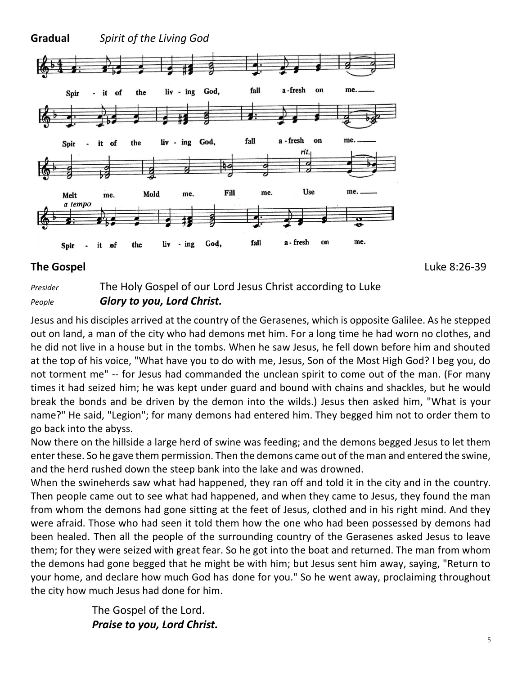

**The Gospel Luke 8:26-39** 

*Presider* The Holy Gospel of our Lord Jesus Christ according to Luke *People Glory to you, Lord Christ.*

Jesus and his disciples arrived at the country of the Gerasenes, which is opposite Galilee. As he stepped out on land, a man of the city who had demons met him. For a long time he had worn no clothes, and he did not live in a house but in the tombs. When he saw Jesus, he fell down before him and shouted at the top of his voice, "What have you to do with me, Jesus, Son of the Most High God? I beg you, do not torment me" -- for Jesus had commanded the unclean spirit to come out of the man. (For many times it had seized him; he was kept under guard and bound with chains and shackles, but he would break the bonds and be driven by the demon into the wilds.) Jesus then asked him, "What is your name?" He said, "Legion"; for many demons had entered him. They begged him not to order them to go back into the abyss.

Now there on the hillside a large herd of swine was feeding; and the demons begged Jesus to let them enter these. So he gave them permission. Then the demons came out of the man and entered the swine, and the herd rushed down the steep bank into the lake and was drowned.

When the swineherds saw what had happened, they ran off and told it in the city and in the country. Then people came out to see what had happened, and when they came to Jesus, they found the man from whom the demons had gone sitting at the feet of Jesus, clothed and in his right mind. And they were afraid. Those who had seen it told them how the one who had been possessed by demons had been healed. Then all the people of the surrounding country of the Gerasenes asked Jesus to leave them; for they were seized with great fear. So he got into the boat and returned. The man from whom the demons had gone begged that he might be with him; but Jesus sent him away, saying, "Return to your home, and declare how much God has done for you." So he went away, proclaiming throughout the city how much Jesus had done for him.

> The Gospel of the Lord. *Praise to you, Lord Christ.*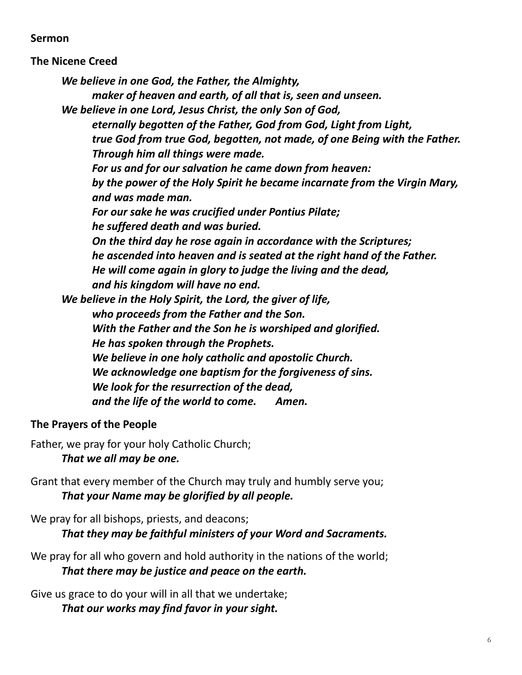#### **Sermon**

#### **The Nicene Creed**

*We believe in one God, the Father, the Almighty, maker of heaven and earth, of all that is, seen and unseen. We believe in one Lord, Jesus Christ, the only Son of God, eternally begotten of the Father, God from God, Light from Light, true God from true God, begotten, not made, of one Being with the Father. Through him all things were made. For us and for our salvation he came down from heaven: by the power of the Holy Spirit he became incarnate from the Virgin Mary, and was made man. For our sake he was crucified under Pontius Pilate; he suffered death and was buried. On the third day he rose again in accordance with the Scriptures; he ascended into heaven and is seated at the right hand of the Father. He will come again in glory to judge the living and the dead, and his kingdom will have no end. We believe in the Holy Spirit, the Lord, the giver of life, who proceeds from the Father and the Son. With the Father and the Son he is worshiped and glorified. He has spoken through the Prophets. We believe in one holy catholic and apostolic Church. We acknowledge one baptism for the forgiveness of sins. We look for the resurrection of the dead, and the life of the world to come. Amen.*

#### **The Prayers of the People**

Father, we pray for your holy Catholic Church; *That we all may be one.*

Grant that every member of the Church may truly and humbly serve you; *That your Name may be glorified by all people.*

We pray for all bishops, priests, and deacons;

*That they may be faithful ministers of your Word and Sacraments.*

We pray for all who govern and hold authority in the nations of the world; *That there may be justice and peace on the earth.*

Give us grace to do your will in all that we undertake; *That our works may find favor in your sight.*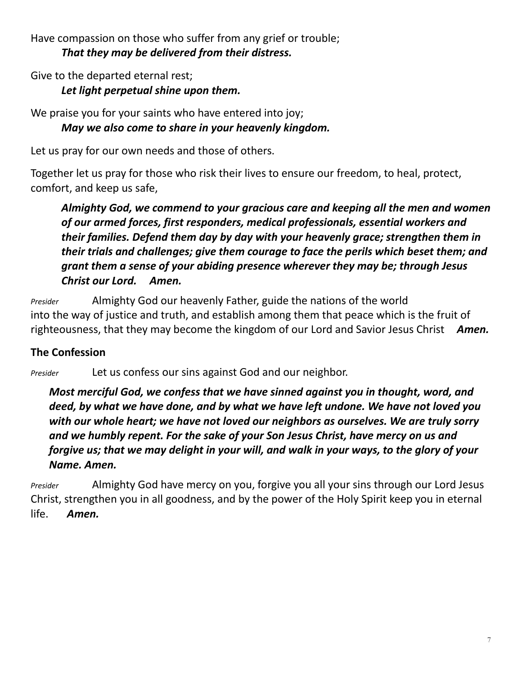Have compassion on those who suffer from any grief or trouble; *That they may be delivered from their distress.*

Give to the departed eternal rest; *Let light perpetual shine upon them.*

We praise you for your saints who have entered into joy; *May we also come to share in your heavenly kingdom.*

Let us pray for our own needs and those of others.

Together let us pray for those who risk their lives to ensure our freedom, to heal, protect, comfort, and keep us safe,

*Almighty God, we commend to your gracious care and keeping all the men and women of our armed forces, first responders, medical professionals, essential workers and their families. Defend them day by day with your heavenly grace; strengthen them in their trials and challenges; give them courage to face the perils which beset them; and grant them a sense of your abiding presence wherever they may be; through Jesus Christ our Lord. Amen.*

*Presider* Almighty God our heavenly Father, guide the nations of the world into the way of justice and truth, and establish among them that peace which is the fruit of righteousness, that they may become the kingdom of our Lord and Savior Jesus Christ *Amen.*

## **The Confession**

*Presider* Let us confess our sins against God and our neighbor.

*Most merciful God, we confess that we have sinned against you in thought, word, and deed, by what we have done, and by what we have left undone. We have not loved you with our whole heart; we have not loved our neighbors as ourselves. We are truly sorry and we humbly repent. For the sake of your Son Jesus Christ, have mercy on us and forgive us; that we may delight in your will, and walk in your ways, to the glory of your Name. Amen.*

*Presider* Almighty God have mercy on you, forgive you all your sins through our Lord Jesus Christ, strengthen you in all goodness, and by the power of the Holy Spirit keep you in eternal life. *Amen.*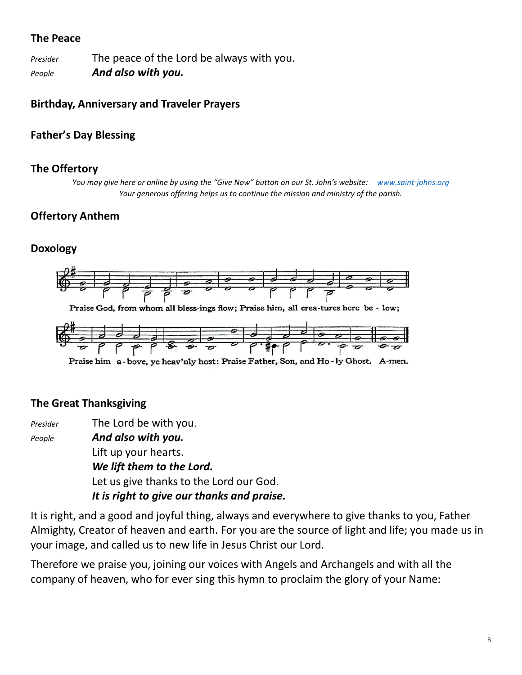#### **The Peace**

*Presider* The peace of the Lord be always with you. *People And also with you.*

#### **Birthday, Anniversary and Traveler Prayers**

#### **Father's Day Blessing**

#### **The Offertory**

*You may give here or online by using the "Give Now" button on our St. John's website: [www.saint-johns.org](http://www.saint-johns.org/) Your generous offering helps us to continue the mission and ministry of the parish.*

#### **Offertory Anthem**

#### **Doxology**



Praise God, from whom all bless-ings flow; Praise him, all crea-tures here be - low;



Praise him a-bove, ye heav'nly host: Praise Father, Son, and Ho-ly Ghost. A-men.

#### **The Great Thanksgiving**

*Presider* The Lord be with you.

*People And also with you.*

Lift up your hearts.

*We lift them to the Lord.*

Let us give thanks to the Lord our God.

*It is right to give our thanks and praise.*

It is right, and a good and joyful thing, always and everywhere to give thanks to you, Father Almighty, Creator of heaven and earth. For you are the source of light and life; you made us in your image, and called us to new life in Jesus Christ our Lord.

Therefore we praise you, joining our voices with Angels and Archangels and with all the company of heaven, who for ever sing this hymn to proclaim the glory of your Name: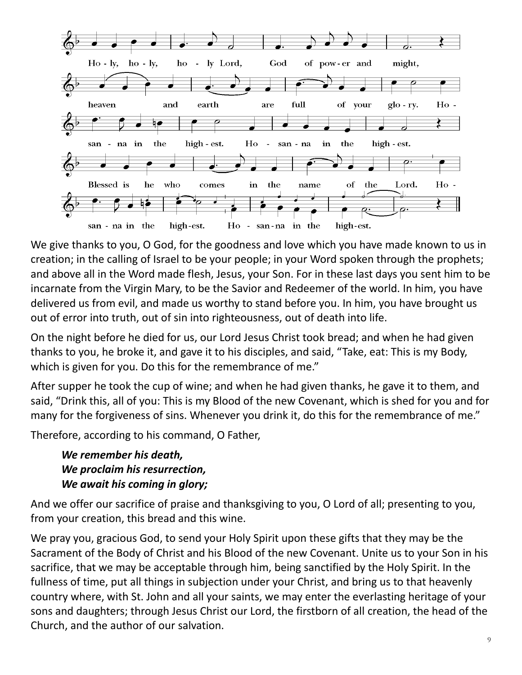

We give thanks to you, O God, for the goodness and love which you have made known to us in creation; in the calling of Israel to be your people; in your Word spoken through the prophets; and above all in the Word made flesh, Jesus, your Son. For in these last days you sent him to be incarnate from the Virgin Mary, to be the Savior and Redeemer of the world. In him, you have delivered us from evil, and made us worthy to stand before you. In him, you have brought us out of error into truth, out of sin into righteousness, out of death into life.

On the night before he died for us, our Lord Jesus Christ took bread; and when he had given thanks to you, he broke it, and gave it to his disciples, and said, "Take, eat: This is my Body, which is given for you. Do this for the remembrance of me."

After supper he took the cup of wine; and when he had given thanks, he gave it to them, and said, "Drink this, all of you: This is my Blood of the new Covenant, which is shed for you and for many for the forgiveness of sins. Whenever you drink it, do this for the remembrance of me."

Therefore, according to his command, O Father,

*We remember his death, We proclaim his resurrection, We await his coming in glory;*

And we offer our sacrifice of praise and thanksgiving to you, O Lord of all; presenting to you, from your creation, this bread and this wine.

We pray you, gracious God, to send your Holy Spirit upon these gifts that they may be the Sacrament of the Body of Christ and his Blood of the new Covenant. Unite us to your Son in his sacrifice, that we may be acceptable through him, being sanctified by the Holy Spirit. In the fullness of time, put all things in subjection under your Christ, and bring us to that heavenly country where, with St. John and all your saints, we may enter the everlasting heritage of your sons and daughters; through Jesus Christ our Lord, the firstborn of all creation, the head of the Church, and the author of our salvation.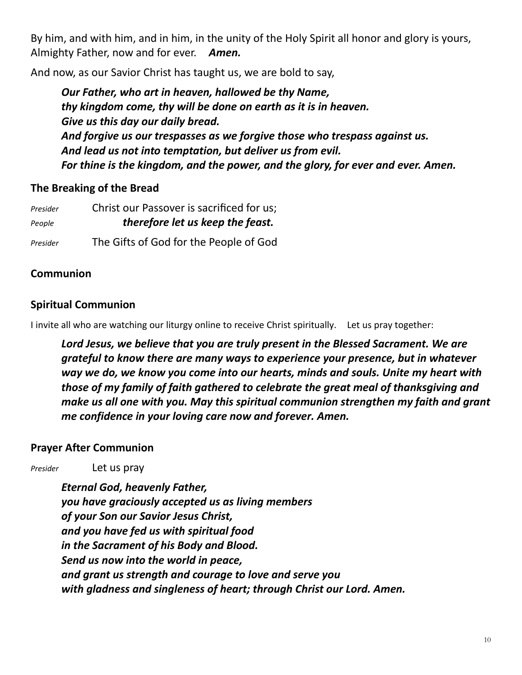By him, and with him, and in him, in the unity of the Holy Spirit all honor and glory is yours, Almighty Father, now and for ever. *Amen.*

And now, as our Savior Christ has taught us, we are bold to say,

*Our Father, who art in heaven, hallowed be thy Name, thy kingdom come, thy will be done on earth as it is in heaven. Give us this day our daily bread. And forgive us our trespasses as we forgive those who trespass against us. And lead us not into temptation, but deliver us from evil. For thine is the kingdom, and the power, and the glory, for ever and ever. Amen.*

#### **The Breaking of the Bread**

| Presider | Christ our Passover is sacrificed for us; |
|----------|-------------------------------------------|
| People   | therefore let us keep the feast.          |
| Presider | The Gifts of God for the People of God    |

#### **Communion**

#### **Spiritual Communion**

I invite all who are watching our liturgy online to receive Christ spiritually. Let us pray together:

*Lord Jesus, we believe that you are truly present in the Blessed Sacrament. We are grateful to know there are many ways to experience your presence, but in whatever way we do, we know you come into our hearts, minds and souls. Unite my heart with those of my family of faith gathered to celebrate the great meal of thanksgiving and make us all one with you. May this spiritual communion strengthen my faith and grant me confidence in your loving care now and forever. Amen.*

## **Prayer After Communion**

*Presider* Let us pray

*Eternal God, heavenly Father, you have graciously accepted us as living members of your Son our Savior Jesus Christ, and you have fed us with spiritual food in the Sacrament of his Body and Blood. Send us now into the world in peace, and grant us strength and courage to love and serve you with gladness and singleness of heart; through Christ our Lord. Amen.*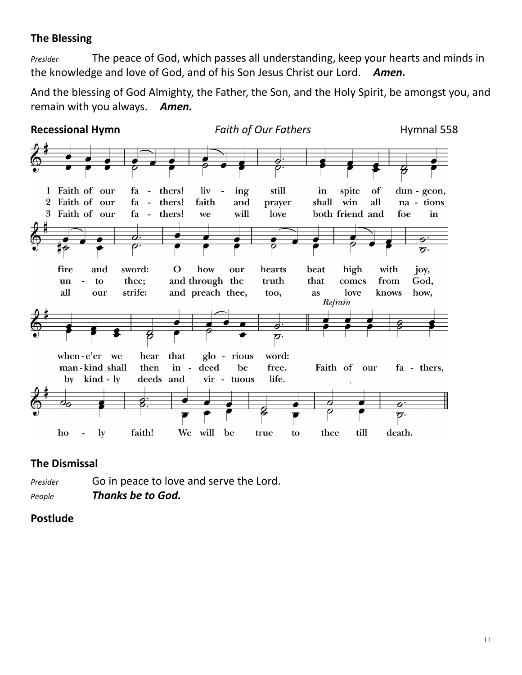## **The Blessing**

*Presider* The peace of God, which passes all understanding, keep your hearts and minds in the knowledge and love of God, and of his Son Jesus Christ our Lord. *Amen.*

And the blessing of God Almighty, the Father, the Son, and the Holy Spirit, be amongst you, and remain with you always. *Amen.*



#### **The Dismissal**

| Presider | Go in peace to love and serve the Lord. |
|----------|-----------------------------------------|
| People   | <b>Thanks be to God.</b>                |

#### **Postlude**